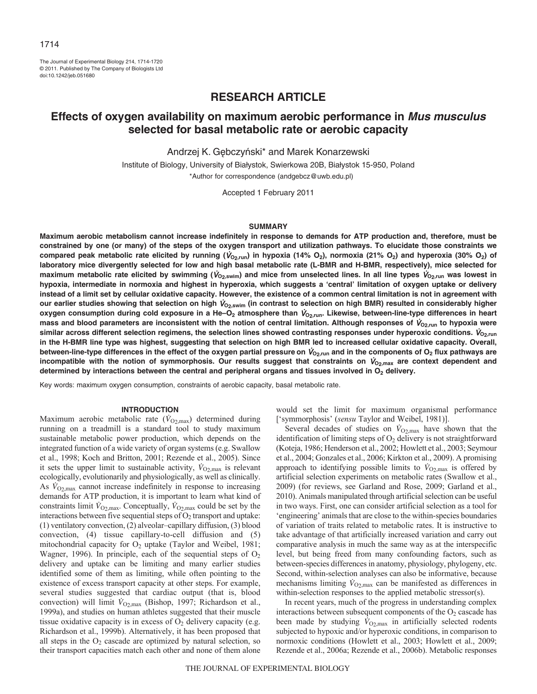The Journal of Experimental Biology 214, 1714-1720 © 2011. Published by The Company of Biologists Ltd doi:10.1242/jeb.051680

# **RESEARCH ARTICLE**

# **Effects of oxygen availability on maximum aerobic performance in Mus musculus selected for basal metabolic rate or aerobic capacity**

Andrzej K. Gębczyński\* and Marek Konarzewski

Institute of Biology, University of Bialystok, Swierkowa 20B, Bialystok 15-950, Poland \*Author for correspondence (andgebcz@uwb.edu.pl)

Accepted 1 February 2011

#### **SUMMARY**

**Maximum aerobic metabolism cannot increase indefinitely in response to demands for ATP production and, therefore, must be constrained by one (or many) of the steps of the oxygen transport and utilization pathways. To elucidate those constraints we** compared peak metabolic rate elicited by running ( $V_{O_2,\text{run}}$ ) in hypoxia (14% O<sub>2</sub>), normoxia (21% O<sub>2</sub>) and hyperoxia (30% O<sub>2</sub>) of **laboratory mice divergently selected for low and high basal metabolic rate (L-BMR and H-BMR, respectively), mice selected for** maximum metabolic rate elicited by swimming ( $V_{O_2,\text{swim}}$ ) and mice from unselected lines. In all line types  $V_{O_2,\text{run}}$  was lowest in **hypoxia, intermediate in normoxia and highest in hyperoxia, which suggests a 'central' limitation of oxygen uptake or delivery instead of a limit set by cellular oxidative capacity. However, the existence of a common central limitation is not in agreement with our earlier studies showing that selection on high** V**O2,swim (in contrast to selection on high BMR) resulted in considerably higher** oxygen consumption during cold exposure in a He–O<sub>2</sub> atmosphere than  $V_{O_2,run}$ . Likewise, between-line-type differences in heart **mass and blood parameters are inconsistent with the notion of central limitation. Although responses of** V**O2,run to hypoxia were** similar across different selection regimens, the selection lines showed contrasting responses under hyperoxic conditions.  $V_{O_2,\text{run}}$ **in the H-BMR line type was highest, suggesting that selection on high BMR led to increased cellular oxidative capacity. Overall,** between-line-type differences in the effect of the oxygen partial pressure on  $V_{O_2,run}$  and in the components of O<sub>2</sub> flux pathways are incompatible with the notion of symmorphosis. Our results suggest that constraints on  $V_{O_2, max}$  are context dependent and determined by interactions between the central and peripheral organs and tissues involved in O<sub>2</sub> delivery.

Key words: maximum oxygen consumption, constraints of aerobic capacity, basal metabolic rate.

#### **INTRODUCTION**

Maximum aerobic metabolic rate  $(\dot{V}_{O2, \text{max}})$  determined during running on a treadmill is a standard tool to study maximum sustainable metabolic power production, which depends on the integrated function of a wide variety of organ systems (e.g. Swallow et al., 1998; Koch and Britton, 2001; Rezende et al., 2005). Since it sets the upper limit to sustainable activity,  $\dot{V}_{O2, \text{max}}$  is relevant ecologically, evolutionarily and physiologically, as well as clinically. As  $V_{\text{O}_2,\text{max}}$  cannot increase indefinitely in response to increasing demands for ATP production, it is important to learn what kind of constraints limit  $V_{O2, \text{max}}$ . Conceptually,  $V_{O2, \text{max}}$  could be set by the interactions between five sequential steps of  $O_2$  transport and uptake: (1) ventilatory convection, (2) alveolar–capillary diffusion, (3) blood convection, (4) tissue capillary-to-cell diffusion and (5) mitochondrial capacity for  $O_2$  uptake (Taylor and Weibel, 1981; Wagner, 1996). In principle, each of the sequential steps of  $O<sub>2</sub>$ delivery and uptake can be limiting and many earlier studies identified some of them as limiting, while often pointing to the existence of excess transport capacity at other steps. For example, several studies suggested that cardiac output (that is, blood convection) will limit  $V_{O2, max}$  (Bishop, 1997; Richardson et al., 1999a), and studies on human athletes suggested that their muscle tissue oxidative capacity is in excess of  $O_2$  delivery capacity (e.g. Richardson et al., 1999b). Alternatively, it has been proposed that all steps in the  $O<sub>2</sub>$  cascade are optimized by natural selection, so their transport capacities match each other and none of them alone would set the limit for maximum organismal performance ['symmorphosis' (*sensu* Taylor and Weibel, 1981)].

Several decades of studies on  $\dot{V}_{\text{O2,max}}$  have shown that the identification of limiting steps of  $O<sub>2</sub>$  delivery is not straightforward (Koteja, 1986; Henderson et al., 2002; Howlett et al., 2003; Seymour et al., 2004; Gonzales et al., 2006; Kirkton et al., 2009). A promising approach to identifying possible limits to  $\dot{V}_{O2, \text{max}}$  is offered by artificial selection experiments on metabolic rates (Swallow et al., 2009) (for reviews, see Garland and Rose, 2009; Garland et al., 2010). Animals manipulated through artificial selection can be useful in two ways. First, one can consider artificial selection as a tool for 'engineering' animals that are close to the within-species boundaries of variation of traits related to metabolic rates. It is instructive to take advantage of that artificially increased variation and carry out comparative analysis in much the same way as at the interspecific level, but being freed from many confounding factors, such as between-species differences in anatomy, physiology, phylogeny, etc. Second, within-selection analyses can also be informative, because mechanisms limiting  $V_{O2, max}$  can be manifested as differences in within-selection responses to the applied metabolic stressor(s).

In recent years, much of the progress in understanding complex interactions between subsequent components of the  $O<sub>2</sub>$  cascade has been made by studying  $\dot{V}_{O2, \text{max}}$  in artificially selected rodents subjected to hypoxic and/or hyperoxic conditions, in comparison to normoxic conditions (Howlett et al., 2003; Howlett et al., 2009; Rezende et al., 2006a; Rezende et al., 2006b). Metabolic responses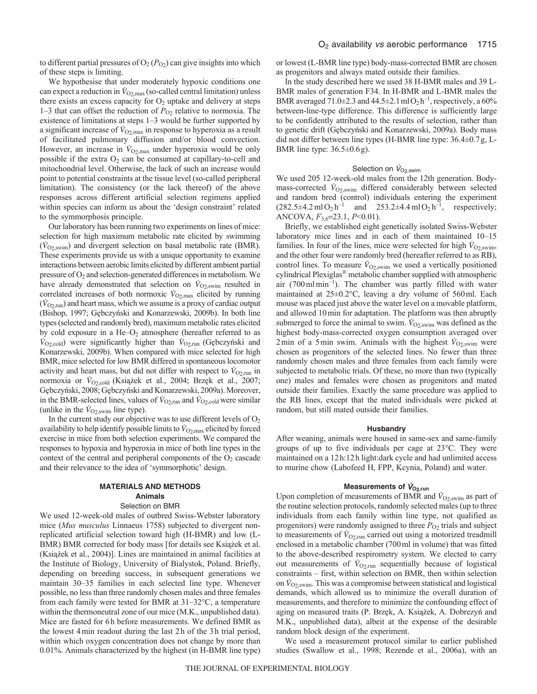to different partial pressures of  $O_2(P_{O_2})$  can give insights into which of these steps is limiting.

We hypothesise that under moderately hypoxic conditions one can expect a reduction in  $V_{\text{O}_2,\text{max}}$  (so-called central limitation) unless there exists an excess capacity for  $O_2$  uptake and delivery at steps 1–3 that can offset the reduction of  $P_{O_2}$  relative to normoxia. The existence of limitations at steps 1–3 would be further supported by a significant increase of  $V_{\text{O2,max}}$  in response to hyperoxia as a result of facilitated pulmonary diffusion and/or blood convection. However, an increase in  $\dot{V}_{O2, \text{max}}$  under hyperoxia would be only possible if the extra  $O_2$  can be consumed at capillary-to-cell and mitochondrial level. Otherwise, the lack of such an increase would point to potential constraints at the tissue level (so-called peripheral limitation). The consistency (or the lack thereof) of the above responses across different artificial selection regimens applied within species can inform us about the 'design constraint' related to the symmorphosis principle.

Our laboratory has been running two experiments on lines of mice: selection for high maximum metabolic rate elicited by swimming  $(\dot{V}_{O2,swim})$  and divergent selection on basal metabolic rate (BMR). These experiments provide us with a unique opportunity to examine interactions between aerobic limits elicited by different ambient partial pressure of  $O_2$  and selection-generated differences in metabolism. We have already demonstrated that selection on  $\dot{V}_{\text{O}_2,\text{swim}}$  resulted in correlated increases of both normoxic  $\dot{V}_{\text{O2,max}}$  elicited by running  $(\dot{V}_{O2,run})$  and heart mass, which we assume is a proxy of cardiac output (Bishop, 1997; Gębczyński and Konarzewski, 2009b). In both line types (selected and randomly bred), maximum metabolic rates elicited by cold exposure in a  $He-O<sub>2</sub>$  atmosphere (hereafter referred to as  $\dot{V}_{\text{O}_2,\text{cold}}$ ) were significantly higher than  $\dot{V}_{\text{O}_2,\text{run}}$  (Gebczynski and Konarzewski, 2009b). When compared with mice selected for high BMR, mice selected for low BMR differed in spontaneous locomotor activity and heart mass, but did not differ with respect to  $V_{\text{O}_2,\text{run}}$  in normoxia or  $\dot{V}_{O_2,\text{cold}}$  (Książek et al., 2004; Brzęk et al., 2007; Gębczyński, 2008; Gębczyński and Konarzewski, 2009a). Moreover, in the BMR-selected lines, values of  $\dot{V}_{\text{O}_2,\text{run}}$  and  $\dot{V}_{\text{O}_2,\text{cold}}$  were similar (unlike in the  $\dot{V}_{\text{O2,swim}}$  line type).

In the current study our objective was to use different levels of  $O<sub>2</sub>$ availability to help identify possible limits to  $V_{\text{O2,max}}$  elicited by forced exercise in mice from both selection experiments. We compared the responses to hypoxia and hyperoxia in mice of both line types in the context of the central and peripheral components of the  $O<sub>2</sub>$  cascade and their relevance to the idea of 'symmorphotic' design.

### **MATERIALS AND METHODS Animals**

#### Selection on BMR

We used 12-week-old males of outbred Swiss-Webster laboratory mice (*Mus musculus* Linnaeus 1758) subjected to divergent nonreplicated artificial selection toward high (H-BMR) and low (L-BMR) BMR corrected for body mass [for details see Książek et al. (Książek et al., 2004)]. Lines are maintained in animal facilities at the Institute of Biology, University of Bialystok, Poland. Briefly, depending on breeding success, in subsequent generations we maintain 30–35 families in each selected line type. Whenever possible, no less than three randomly chosen males and three females from each family were tested for BMR at 31–32°C, a temperature within the thermoneutral zone of our mice (M.K., unpublished data). Mice are fasted for 6h before measurements. We defined BMR as the lowest 4min readout during the last 2h of the 3h trial period, within which oxygen concentration does not change by more than 0.01%. Animals characterized by the highest (in H-BMR line type) or lowest (L-BMR line type) body-mass-corrected BMR are chosen as progenitors and always mated outside their families.

In the study described here we used 38 H-BMR males and 39 L-BMR males of generation F34. In H-BMR and L-BMR males the BMR averaged  $71.0\pm2.3$  and  $44.5\pm2.1$  mlO<sub>2</sub> h<sup>-1</sup>, respectively, a 60% between-line-type difference. This difference is sufficiently large to be confidently attributed to the results of selection, rather than to genetic drift (Gębczyński and Konarzewski, 2009a). Body mass did not differ between line types (H-BMR line type: 36.4±0.7g, L-BMR line type: 36.5±0.6g).

## Selection on  $\dot{V}_{\text{O2,swim}}$

We used 205 12-week-old males from the 12th generation. Bodymass-corrected  $V_{O2,swim}$  differed considerably between selected and random bred (control) individuals entering the experiment  $(282.5\pm4.2 \text{ ml } O_2 \text{ h}^{-1}$  and  $253.2\pm4.4 \text{ ml } O_2 \text{ h}^{-1}$ , respectively; ANCOVA, *F*3,623.1, *P*<0.01).

Briefly, we established eight genetically isolated Swiss-Webster laboratory mice lines and in each of them maintained 10–15 families. In four of the lines, mice were selected for high  $\dot{V}_{O2, \text{swim}}$ , and the other four were randomly bred (hereafter referred to as RB), control lines. To measure  $\dot{V}_{O2,swim}$  we used a vertically positioned cylindrical Plexiglas® metabolic chamber supplied with atmospheric air (700mlmin–1). The chamber was partly filled with water maintained at 25±0.2°C, leaving a dry volume of 560ml. Each mouse was placed just above the water level on a movable platform, and allowed 10min for adaptation. The platform was then abruptly submerged to force the animal to swim.  $\dot{V}_{O2,swim}$  was defined as the highest body-mass-corrected oxygen consumption averaged over 2min of a 5min swim. Animals with the highest  $\dot{V}_{O2,swim}$  were chosen as progenitors of the selected lines. No fewer than three randomly chosen males and three females from each family were subjected to metabolic trials. Of these, no more than two (typically one) males and females were chosen as progenitors and mated outside their families. Exactly the same procedure was applied to the RB lines, except that the mated individuals were picked at random, but still mated outside their families.

### **Husbandry**

After weaning, animals were housed in same-sex and same-family groups of up to five individuals per cage at 23°C. They were maintained on a 12h:12h light:dark cycle and had unlimited access to murine chow (Labofeed H, FPP, Kcynia, Poland) and water.

## **Measurements of**  $\dot{V}_{O2,run}$

Upon completion of measurements of BMR and  $\dot{V}_{O2,swim}$  as part of the routine selection protocols, randomly selected males (up to three individuals from each family within line type, not qualified as progenitors) were randomly assigned to three  $P_{O_2}$  trials and subject to measurements of  $\dot{V}_{O2, \text{run}}$  carried out using a motorized treadmill enclosed in a metabolic chamber (700ml in volume) that was fitted to the above-described respirometry system. We elected to carry out measurements of  $V_{O2, run}$  sequentially because of logistical constraints – first, within selection on BMR, then within selection on  $\dot{V}_{O2, \text{swim}}$ . This was a compromise between statistical and logistical demands, which allowed us to minimize the overall duration of measurements, and therefore to minimize the confounding effect of aging on measured traits (P. Brzęk, A. Książek, A. Dobrezyń and M.K., unpublished data), albeit at the expense of the desirable random block design of the experiment.

We used a measurement protocol similar to earlier published studies (Swallow et al., 1998; Rezende et al., 2006a), with an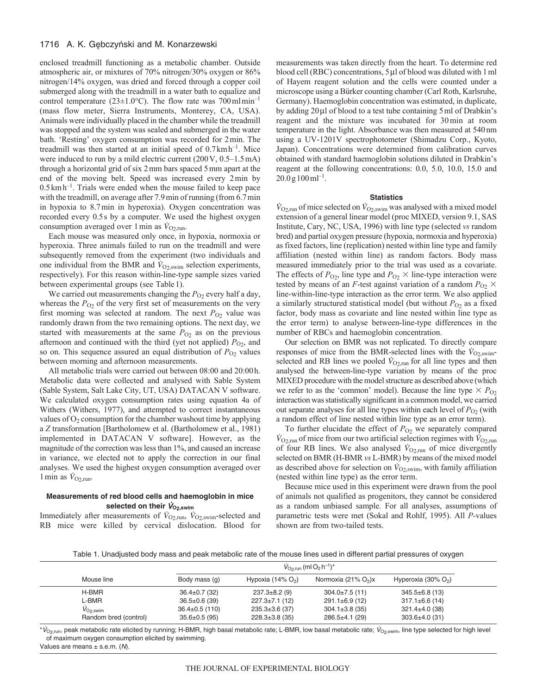### 1716 A. K. Gębczyński and M. Konarzewski

enclosed treadmill functioning as a metabolic chamber. Outside atmospheric air, or mixtures of 70% nitrogen/30% oxygen or 86% nitrogen/14% oxygen, was dried and forced through a copper coil submerged along with the treadmill in a water bath to equalize and control temperature ( $23\pm1.0^{\circ}$ C). The flow rate was 700 mlmin<sup>-1</sup> (mass flow meter, Sierra Instruments, Monterey, CA, USA). Animals were individually placed in the chamber while the treadmill was stopped and the system was sealed and submerged in the water bath. 'Resting' oxygen consumption was recorded for 2min. The treadmill was then started at an initial speed of  $0.7 \text{ km h}^{-1}$ . Mice were induced to run by a mild electric current (200V, 0.5–1.5mA) through a horizontal grid of six 2mm bars spaced 5mm apart at the end of the moving belt. Speed was increased every 2min by  $0.5 \text{ km h}^{-1}$ . Trials were ended when the mouse failed to keep pace with the treadmill, on average after 7.9 min of running (from 6.7 min in hypoxia to 8.7min in hyperoxia). Oxygen concentration was recorded every 0.5s by a computer. We used the highest oxygen consumption averaged over 1 min as  $\dot{V}_{O2,\text{run}}$ .

Each mouse was measured only once, in hypoxia, normoxia or hyperoxia. Three animals failed to run on the treadmill and were subsequently removed from the experiment (two individuals and one individual from the BMR and  $\dot{V}_{O2,swim}$  selection experiments, respectively). For this reason within-line-type sample sizes varied between experimental groups (see Table1).

We carried out measurements changing the  $P<sub>O2</sub>$  every half a day, whereas the  $P_{O2}$  of the very first set of measurements on the very first morning was selected at random. The next  $P_{O_2}$  value was randomly drawn from the two remaining options. The next day, we started with measurements at the same  $P_{O2}$  as on the previous afternoon and continued with the third (yet not applied)  $P_{O_2}$ , and so on. This sequence assured an equal distribution of  $P<sub>O2</sub>$  values between morning and afternoon measurements.

All metabolic trials were carried out between 08:00 and 20:00h. Metabolic data were collected and analysed with Sable System (Sable System, Salt Lake City, UT, USA) DATACAN V software. We calculated oxygen consumption rates using equation 4a of Withers (Withers, 1977), and attempted to correct instantaneous values of  $O_2$  consumption for the chamber washout time by applying a *Z* transformation [Bartholomew et al. (Bartholomew et al., 1981) implemented in DATACAN V software]. However, as the magnitude of the correction was less than 1%, and caused an increase in variance, we elected not to apply the correction in our final analyses. We used the highest oxygen consumption averaged over 1 min as  $\dot{V}_{\text{O2,run}}$ .

### **Measurements of red blood cells and haemoglobin in mice** selected on their  $V_{O<sub>2,swim</sub>}$

Immediately after measurements of  $\dot{V}_{\text{O}_2,\text{run}}$ ,  $\dot{V}_{\text{O}_2,\text{sum}}$ -selected and RB mice were killed by cervical dislocation. Blood for measurements was taken directly from the heart. To determine red blood cell (RBC) concentrations, 5 µl of blood was diluted with 1 ml of Hayem reagent solution and the cells were counted under a microscope using a Bürker counting chamber (Carl Roth, Karlsruhe, Germany). Haemoglobin concentration was estimated, in duplicate, by adding  $20 \mu l$  of blood to a test tube containing 5 ml of Drabkin's reagent and the mixture was incubated for 30min at room temperature in the light. Absorbance was then measured at 540nm using a UV-1201V spectrophotometer (Shimadzu Corp., Kyoto, Japan). Concentrations were determined from calibration curves obtained with standard haemoglobin solutions diluted in Drabkin's reagent at the following concentrations: 0.0, 5.0, 10.0, 15.0 and  $20.0$  g  $100$  ml<sup>-1</sup>.

#### **Statistics**

 $\dot{V}_{\text{O2,xun}}$  of mice selected on  $\dot{V}_{\text{O2,xvim}}$  was analysed with a mixed model extension of a general linear model (proc MIXED, version 9.1, SAS Institute, Cary, NC, USA, 1996) with line type (selected *vs* random bred) and partial oxygen pressure (hypoxia, normoxia and hyperoxia) as fixed factors, line (replication) nested within line type and family affiliation (nested within line) as random factors. Body mass measured immediately prior to the trial was used as a covariate. The effects of  $P_{O_2}$ , line type and  $P_{O_2} \times$  line-type interaction were tested by means of an *F*-test against variation of a random  $P_{O_2}$   $\times$ line-within-line-type interaction as the error term. We also applied a similarly structured statistical model (but without  $P_{O2}$  as a fixed factor, body mass as covariate and line nested within line type as the error term) to analyse between-line-type differences in the number of RBCs and haemoglobin concentration.

Our selection on BMR was not replicated. To directly compare responses of mice from the BMR-selected lines with the  $\dot{V}_{O2, \text{swim}}$ selected and RB lines we pooled  $\dot{V}_{O2, \text{run}}$  for all line types and then analysed the between-line-type variation by means of the proc MIXED procedure with the model structure as described above (which we refer to as the 'common' model). Because the line type  $\times P_{O2}$ interaction was statistically significant in a common model, we carried out separate analyses for all line types within each level of  $P<sub>O2</sub>$  (with a random effect of line nested within line type as an error term).

To further elucidate the effect of  $P_{O_2}$  we separately compared  $\dot{V}_{\text{O}_2,\text{run}}$  of mice from our two artificial selection regimes with  $\dot{V}_{\text{O}_2,\text{run}}$ of four RB lines. We also analysed  $\dot{V}_{O2,\text{run}}$  of mice divergently selected on BMR (H-BMR *vs* L-BMR) by means of the mixed model as described above for selection on  $\dot{V}_{O2,swim}$ , with family affiliation (nested within line type) as the error term.

Because mice used in this experiment were drawn from the pool of animals not qualified as progenitors, they cannot be considered as a random unbiased sample. For all analyses, assumptions of parametric tests were met (Sokal and Rohlf, 1995). All *P*-values shown are from two-tailed tests.

Table 1. Unadjusted body mass and peak metabolic rate of the mouse lines used in different partial pressures of oxygen

| Mouse line            | $\dot{V}_{\rm O2, run}$ (ml $\rm O_2 \, h^{-1})^*$ |                      |                       |                                |  |
|-----------------------|----------------------------------------------------|----------------------|-----------------------|--------------------------------|--|
|                       | Body mass (g)                                      | Hypoxia (14% $O2$ )  | Normoxia (21% $O2$ )x | Hyperoxia $(30\% \text{ O}_2)$ |  |
| H-BMR                 | $36.4 \pm 0.7$ (32)                                | $237.3 \pm 8.2$ (9)  | $304.0 \pm 7.5(11)$   | $345.5 \pm 6.8(13)$            |  |
| L-BMR                 | $36.5 \pm 0.6$ (39)                                | $227.3 \pm 7.1(12)$  | $291.1 \pm 6.9(12)$   | $317.1 \pm 6.6(14)$            |  |
| $V_{O2, \text{swim}}$ | $36.4 \pm 0.5$ (110)                               | $235.3 \pm 3.6$ (37) | $304.1 \pm 3.8$ (35)  | $321.4 \pm 4.0$ (38)           |  |
| Random bred (control) | $35.6 \pm 0.5$ (95)                                | $228.3 \pm 3.8$ (35) | $286.5 \pm 4.1$ (29)  | $303.6 \pm 4.0$ (31)           |  |

\*V<sub>O2,run</sub>, peak metabolic rate elicited by running; H-BMR, high basal metabolic rate; L-BMR, low basal metabolic rate; V<sub>O2,swim</sub>, line type selected for high level of maximum oxygen consumption elicited by swimming.

Values are means  $\pm$  s.e.m. (N).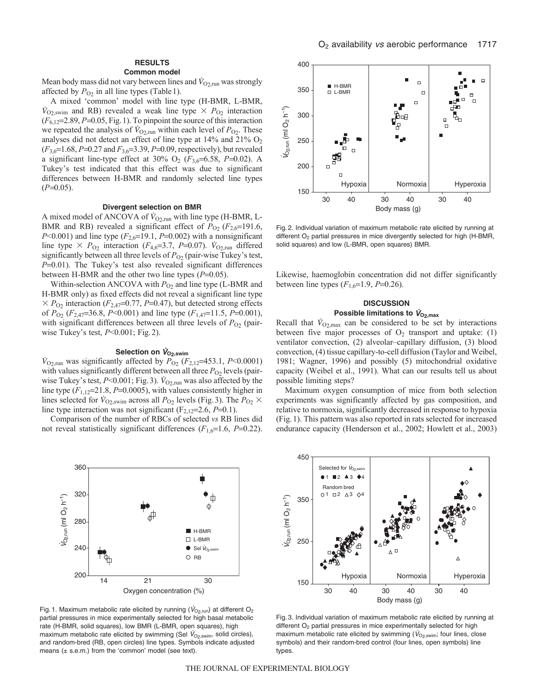### **RESULTS**

#### **Common model**

Mean body mass did not vary between lines and  $V_{O_2, run}$  was strongly affected by  $P_{O_2}$  in all line types (Table 1).

A mixed 'common' model with line type (H-BMR, L-BMR,  $\dot{V}_{\text{O}_2,\text{swim}}$  and RB) revealed a weak line type  $\times P_{\text{O}_2}$  interaction  $(F_{6,12}=2.89, P=0.05, Fig.1)$ . To pinpoint the source of this interaction we repeated the analysis of  $\dot{V}_{O2,run}$  within each level of  $P_{O2}$ . These analyses did not detect an effect of line type at  $14\%$  and  $21\%$  O<sub>2</sub> ( $F_{3,6}=1.68$ , *P*=0.27 and  $F_{3,6}=3.39$ , *P*=0.09, respectively), but revealed a significant line-type effect at 30%  $O_2$  ( $F_{3,6}$ =6.58, *P*=0.02). A Tukey's test indicated that this effect was due to significant differences between H-BMR and randomly selected line types  $(P=0.05)$ .

#### **Divergent selection on BMR**

A mixed model of ANCOVA of  $\dot{V}_{O2,\text{run}}$  with line type (H-BMR, L-BMR and RB) revealed a significant effect of  $P_{O_2}$  ( $F_{2,6}=191.6$ , *P*<0.001) and line type  $(F_{2,6}=19.1, P=0.002)$  with a nonsignificant line type  $\times$   $P_{\text{O}_2}$  interaction ( $F_{4,6}=3.7$ ,  $P=0.07$ ).  $\dot{V}_{\text{O}_2,\text{run}}$  differed significantly between all three levels of  $P_{O_2}$  (pair-wise Tukey's test, *P*=0.01). The Tukey's test also revealed significant differences between H-BMR and the other two line types  $(P=0.05)$ .

Within-selection ANCOVA with  $P_{O_2}$  and line type (L-BMR and H-BMR only) as fixed effects did not reveal a significant line type  $\times$  *P*<sub>O2</sub> interaction (*F*<sub>2,47</sub>=0.77, *P*=0.47), but detected strong effects of  $P_{O_2}$  ( $F_{2,47}$ =36.8,  $P<0.001$ ) and line type ( $F_{1,47}$ =11.5,  $P=0.001$ ), with significant differences between all three levels of  $P_{O_2}$  (pairwise Tukey's test, *P*<0.001; Fig.2).

### Selection on  $V_{O<sub>2</sub>,swim}$

 $\dot{V}_{\text{O2,run}}$  was significantly affected by  $\bar{P}_{\text{O2}}$  (*F*<sub>2,12</sub>=453.1, *P*<0.0001) with values significantly different between all three  $P_{O2}$  levels (pairwise Tukey's test,  $P<0.001$ ; Fig. 3).  $\dot{V}_{O2,run}$  was also affected by the line type  $(F_{1,12}=21.8, P=0.0005)$ , with values consistently higher in lines selected for  $\dot{V}_{\text{O}_2,\text{swim}}$  across all  $P_{\text{O}_2}$  levels (Fig. 3). The  $P_{\text{O}_2} \times$ line type interaction was not significant  $(F_{2,12}=2.6, P=0.1)$ .

Comparison of the number of RBCs of selected *vs* RB lines did not reveal statistically significant differences  $(F_{1,6}=1.6, P=0.22)$ .



Fig. 1. Maximum metabolic rate elicited by running ( $V_{O_2,\text{run}}$ ) at different O<sub>2</sub> partial pressures in mice experimentally selected for high basal metabolic rate (H-BMR, solid squares), low BMR (L-BMR, open squares), high maximum metabolic rate elicited by swimming (Sel  $V_{\text{O}_2,\text{swim}}$ , solid circles), and random-bred (RB, open circles) line types. Symbols indicate adjusted means  $(± s.e.m.)$  from the 'common' model (see text).



Fig. 2. Individual variation of maximum metabolic rate elicited by running at different O<sub>2</sub> partial pressures in mice divergently selected for high (H-BMR, solid squares) and low (L-BMR, open squares) BMR.

Likewise, haemoglobin concentration did not differ significantly between line types  $(F_{1,6}=1.9, P=0.26)$ .

### **DISCUSSION** Possible limitations to  $\dot{V}_{O<sub>2,max</sub>}$

Recall that  $\dot{V}_{O2, \text{max}}$  can be considered to be set by interactions between five major processes of  $O_2$  transport and uptake: (1) ventilator convection, (2) alveolar–capillary diffusion, (3) blood convection, (4) tissue capillary-to-cell diffusion (Taylor and Weibel, 1981; Wagner, 1996) and possibly (5) mitochondrial oxidative capacity (Weibel et al., 1991). What can our results tell us about possible limiting steps?

Maximum oxygen consumption of mice from both selection experiments was significantly affected by gas composition, and relative to normoxia, significantly decreased in response to hypoxia (Fig.1). This pattern was also reported in rats selected for increased endurance capacity (Henderson et al., 2002; Howlett et al., 2003)



Fig. 3. Individual variation of maximum metabolic rate elicited by running at different O<sub>2</sub> partial pressures in mice experimentally selected for high maximum metabolic rate elicited by swimming ( $\dot{V}_{\text{O}_2,\text{swim}}$ ; four lines, close symbols) and their random-bred control (four lines, open symbols) line types.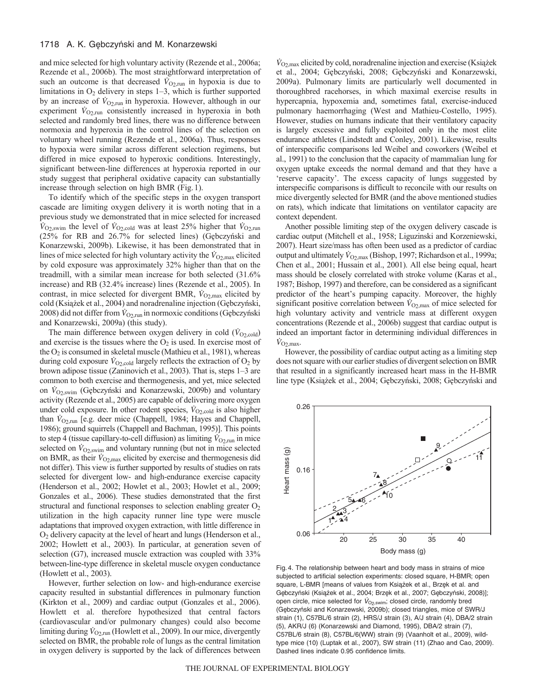and mice selected for high voluntary activity (Rezende et al., 2006a; Rezende et al., 2006b). The most straightforward interpretation of such an outcome is that decreased  $\dot{V}_{\text{O}_2,\text{run}}$  in hypoxia is due to limitations in  $O_2$  delivery in steps  $1-3$ , which is further supported by an increase of  $V_{O2,run}$  in hyperoxia. However, although in our experiment  $\dot{V}_{O_2,\text{run}}$  consistently increased in hyperoxia in both selected and randomly bred lines, there was no difference between normoxia and hyperoxia in the control lines of the selection on voluntary wheel running (Rezende et al., 2006a). Thus, responses to hypoxia were similar across different selection regimens, but differed in mice exposed to hyperoxic conditions. Interestingly, significant between-line differences at hyperoxia reported in our study suggest that peripheral oxidative capacity can substantially increase through selection on high BMR (Fig.1).

To identify which of the specific steps in the oxygen transport cascade are limiting oxygen delivery it is worth noting that in a previous study we demonstrated that in mice selected for increased  $\dot{V}_{\text{O}_2,\text{swim}}$  the level of  $\dot{V}_{\text{O}_2,\text{cold}}$  was at least 25% higher that  $\dot{V}_{\text{O}_2,\text{run}}$ ( $25\%$  for RB and  $26.7\%$  for selected lines) (Gębczyński and Konarzewski, 2009b). Likewise, it has been demonstrated that in lines of mice selected for high voluntary activity the  $\dot{V}_{\text{O2,max}}$  elicited by cold exposure was approximately 32% higher than that on the treadmill, with a similar mean increase for both selected (31.6% increase) and RB (32.4% increase) lines (Rezende et al., 2005). In contrast, in mice selected for divergent BMR,  $\dot{V}_{\text{O2,max}}$  elicited by cold (Książek et al., 2004) and noradrenaline injection (Gębczyński, 2008) did not differ from  $V_{O_2, \text{run}}$  in normoxic conditions (Gębczyński and Konarzewski, 2009a) (this study).

The main difference between oxygen delivery in cold  $(\dot{V}_{O2, cold})$ and exercise is the tissues where the  $O_2$  is used. In exercise most of the  $O_2$  is consumed in skeletal muscle (Mathieu et al., 1981), whereas during cold exposure  $\dot{V}_{\text{O2,cold}}$  largely reflects the extraction of  $\text{O}_2$  by brown adipose tissue (Zaninovich et al., 2003). That is, steps 1–3 are common to both exercise and thermogenesis, and yet, mice selected on  $V_{O2,swim}$  (Gębczyński and Konarzewski, 2009b) and voluntary activity (Rezende et al., 2005) are capable of delivering more oxygen under cold exposure. In other rodent species,  $\dot{V}_{O_2,\text{cold}}$  is also higher than  $V_{O2, run}$  [e.g. deer mice (Chappell, 1984; Hayes and Chappell, 1986); ground squirrels (Chappell and Bachman, 1995)]. This points to step 4 (tissue capillary-to-cell diffusion) as limiting  $\dot{V}_{O_2,\text{run}}$  in mice selected on  $\dot{V}_{O2,swim}$  and voluntary running (but not in mice selected on BMR, as their  $\dot{V}_{O2, \text{max}}$  elicited by exercise and thermogenesis did not differ). This view is further supported by results of studies on rats selected for divergent low- and high-endurance exercise capacity (Henderson et al., 2002; Howlet et al., 2003; Howlet et al., 2009; Gonzales et al., 2006). These studies demonstrated that the first structural and functional responses to selection enabling greater  $O<sub>2</sub>$ utilization in the high capacity runner line type were muscle adaptations that improved oxygen extraction, with little difference in O2 delivery capacity at the level of heart and lungs (Henderson et al., 2002; Howlett et al., 2003). In particular, at generation seven of selection (G7), increased muscle extraction was coupled with  $33\%$ between-line-type difference in skeletal muscle oxygen conductance (Howlett et al., 2003).

However, further selection on low- and high-endurance exercise capacity resulted in substantial differences in pulmonary function (Kirkton et al., 2009) and cardiac output (Gonzales et al., 2006). Howlett et al. therefore hypothesized that central factors (cardiovascular and/or pulmonary changes) could also become limiting during  $V_{O_2,\text{run}}$  (Howlett et al., 2009). In our mice, divergently selected on BMR, the probable role of lungs as the central limitation in oxygen delivery is supported by the lack of differences between

 $V_{\text{O2,max}}$  elicited by cold, noradrenaline injection and exercise (Książek et al., 2004; Gębczyński, 2008; Gębczyński and Konarzewski, 2009a). Pulmonary limits are particularly well documented in thoroughbred racehorses, in which maximal exercise results in hypercapnia, hypoxemia and, sometimes fatal, exercise-induced pulmonary haemorrhaging (West and Mathieu-Costello, 1995). However, studies on humans indicate that their ventilatory capacity is largely excessive and fully exploited only in the most elite endurance athletes (Lindstedt and Conley, 2001). Likewise, results of interspecific comparisons led Weibel and coworkers (Weibel et al., 1991) to the conclusion that the capacity of mammalian lung for oxygen uptake exceeds the normal demand and that they have a 'reserve capacity'. The excess capacity of lungs suggested by interspecific comparisons is difficult to reconcile with our results on mice divergently selected for BMR (and the above mentioned studies on rats), which indicate that limitations on ventilator capacity are context dependent.

Another possible limiting step of the oxygen delivery cascade is cardiac output (Mitchell et al., 1958; Liguzinski and Korzeniewski, 2007). Heart size/mass has often been used as a predictor of cardiac output and ultimately  $\dot{V}_{O2, \text{max}}$  (Bishop, 1997; Richardson et al., 1999a; Chen et al., 2001; Hussain et al., 2001). All else being equal, heart mass should be closely correlated with stroke volume (Karas et al., 1987; Bishop, 1997) and therefore, can be considered as a significant predictor of the heart's pumping capacity. Moreover, the highly significant positive correlation between  $\dot{V}_{\text{O2,max}}$  of mice selected for high voluntary activity and ventricle mass at different oxygen concentrations (Rezende et al., 2006b) suggest that cardiac output is indeed an important factor in determining individual differences in  $\dot{V}_{\text{O}_2,\text{max}}$ .

However, the possibility of cardiac output acting as a limiting step does not square with our earlier studies of divergent selection on BMR that resulted in a significantly increased heart mass in the H-BMR line type (Książek et al., 2004; Gębczyński, 2008; Gębczyński and



Fig. 4. The relationship between heart and body mass in strains of mice subjected to artificial selection experiments: closed square, H-BMR; open square, L-BMR [means of values from Książek et al., Brzęk et al. and Gębczyński (Książek et al., 2004; Brzęk et al., 2007; Gębczyński, 2008)]; open circle, mice selected for  $V_{\text{O}_2,\text{swim}}$ ; closed circle, randomly bred (Gębczyński and Konarzewski, 2009b); closed triangles, mice of SWR/J strain (1), C57BL/6 strain (2), HRS/J strain (3), A/J strain (4), DBA/2 strain (5), AKR/J (6) (Konarzewski and Diamond, 1995), DBA/2 strain (7), C57BL/6 strain (8), C57BL/6(WW) strain (9) (Vaanholt et al., 2009), wildtype mice (10) (Luptak et al., 2007), SW strain (11) (Zhao and Cao, 2009). Dashed lines indicate 0.95 confidence limits.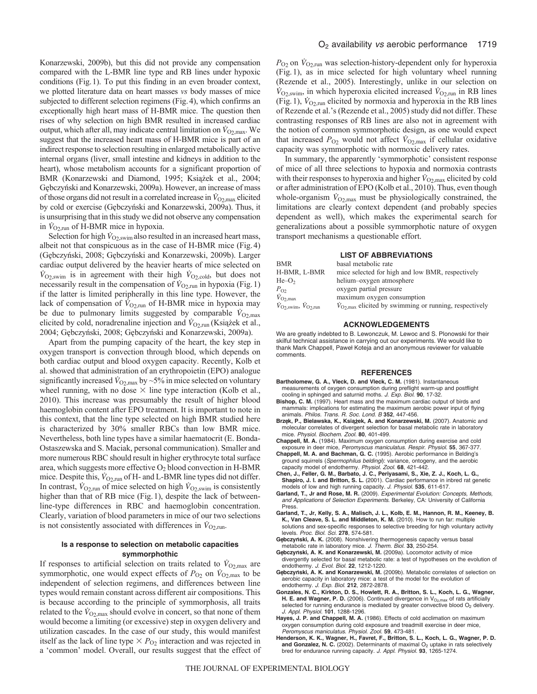Konarzewski, 2009b), but this did not provide any compensation compared with the L-BMR line type and RB lines under hypoxic conditions (Fig.1). To put this finding in an even broader context, we plotted literature data on heart masses *vs* body masses of mice subjected to different selection regimens (Fig.4), which confirms an exceptionally high heart mass of H-BMR mice. The question then rises of why selection on high BMR resulted in increased cardiac output, which after all, may indicate central limitation on  $\dot{V}_{O2, \text{max}}$ . We suggest that the increased heart mass of H-BMR mice is part of an indirect response to selection resulting in enlarged metabolically active internal organs (liver, small intestine and kidneys in addition to the heart), whose metabolism accounts for a significant proportion of BMR (Konarzewski and Diamond, 1995; Książek et al., 2004; Gębczyński and Konarzewski, 2009a). However, an increase of mass of those organs did not result in a correlated increase in  $\dot{V}_{\text{O2,max}}$  elicited by cold or exercise (Gębczyński and Konarzewski, 2009a). Thus, it is unsurprising that in this study we did not observe any compensation in  $V_{\text{O}_2,\text{run}}$  of H-BMR mice in hypoxia.

Selection for high  $\dot{V}_{O2, \text{swim}}$  also resulted in an increased heart mass, albeit not that conspicuous as in the case of H-BMR mice (Fig.4) (Gębczyński, 2008; Gębczyński and Konarzewski, 2009b). Larger cardiac output delivered by the heavier hearts of mice selected on  $V_{\text{O2,swim}}$  is in agreement with their high  $V_{\text{O2,cold}}$ , but does not necessarily result in the compensation of  $V_{\text{O}_2,\text{run}}$  in hypoxia (Fig. 1) if the latter is limited peripherally in this line type. However, the lack of compensation of  $V_{O2,run}$  of H-BMR mice in hypoxia may be due to pulmonary limits suggested by comparable  $\dot{V}_{\text{O2,max}}$ elicited by cold, noradrenaline injection and  $\dot{V}_{O_2, \text{run}}$  (Książek et al., 2004; Gębczyński, 2008; Gębczyński and Konarzewski, 2009a).

Apart from the pumping capacity of the heart, the key step in oxygen transport is convection through blood, which depends on both cardiac output and blood oxygen capacity. Recently, Kolb et al. showed that administration of an erythropoietin (EPO) analogue significantly increased  $\dot{V}_{\text{O2,max}}$  by ~5% in mice selected on voluntary wheel running, with no dose  $\times$  line type interaction (Kolb et al., 2010). This increase was presumably the result of higher blood haemoglobin content after EPO treatment. It is important to note in this context, that the line type selected on high BMR studied here is characterized by 30% smaller RBCs than low BMR mice. Nevertheless, both line types have a similar haematocrit (E. Bonda-Ostaszewska and S. Maciak, personal communication). Smaller and more numerous RBC should result in higher erythrocyte total surface area, which suggests more effective  $O_2$  blood convection in H-BMR mice. Despite this,  $\dot{V}_{O2,run}$  of H- and L-BMR line types did not differ. In contrast,  $\dot{V}_{\text{O}_2,\text{run}}$  of mice selected on high  $\dot{V}_{\text{O}_2,\text{swim}}$  is consistently higher than that of RB mice (Fig.1), despite the lack of betweenline-type differences in RBC and haemoglobin concentration. Clearly, variation of blood parameters in mice of our two selections is not consistently associated with differences in  $\dot{V}_{\text{O}_2,\text{run}}$ .

### **Is a response to selection on metabolic capacities symmorphothic**

If responses to artificial selection on traits related to  $V_{\text{O2,max}}$  are symmorphotic, one would expect effects of  $P_{\text{O}_2}$  on  $\dot{V}_{\text{O}_2,\text{max}}$  to be independent of selection regimens, and differences between line types would remain constant across different air compositions. This is because according to the principle of symmorphosis, all traits related to the  $V_{\text{O}_2,\text{max}}$  should evolve in concert, so that none of them would become a limiting (or excessive) step in oxygen delivery and utilization cascades. In the case of our study, this would manifest itself as the lack of line type  $\times P_{O_2}$  interaction and was rejected in a 'common' model. Overall, our results suggest that the effect of  $P_{\text{O}_2}$  on  $\dot{V}_{\text{O}_2,\text{run}}$  was selection-history-dependent only for hyperoxia (Fig.1), as in mice selected for high voluntary wheel running (Rezende et al., 2005). Interestingly, unlike in our selection on  $V_{\text{O}_2,\text{swim}}$ , in which hyperoxia elicited increased  $V_{\text{O}_2,\text{run}}$  in RB lines (Fig. 1),  $V_{O2, \text{run}}$  elicited by normoxia and hyperoxia in the RB lines of Rezende et al.'s (Rezende et al., 2005) study did not differ. These contrasting responses of RB lines are also not in agreement with the notion of common symmorphotic design, as one would expect that increased  $P_{\text{O}_2}$  would not affect  $\dot{V}_{\text{O}_2,\text{max}}$  if cellular oxidative capacity was symmorphotic with normoxic delivery rates.

In summary, the apparently 'symmorphotic' consistent response of mice of all three selections to hypoxia and normoxia contrasts with their responses to hyperoxia and higher  $\dot{V}_{\text{O2,max}}$  elicited by cold or after administration of EPO (Kolb et al., 2010). Thus, even though whole-organism  $\dot{V}_{O2, \text{max}}$  must be physiologically constrained, the limitations are clearly context dependent (and probably species dependent as well), which makes the experimental search for generalizations about a possible symmorphotic nature of oxygen transport mechanisms a questionable effort.

### **LIST OF ABBREVIATIONS**

| <b>BMR</b>                                             | basal metabolic rate                                                     |
|--------------------------------------------------------|--------------------------------------------------------------------------|
| H-BMR, L-BMR                                           | mice selected for high and low BMR, respectively                         |
| $He-O2$                                                | helium-oxygen atmosphere                                                 |
| $P_{O2}$                                               | oxygen partial pressure                                                  |
| $\dot{V}_{\text{O2,max}}$                              | maximum oxygen consumption                                               |
| $\dot{V}_{\text{O2,swim}}$ , $\dot{V}_{\text{O2,run}}$ | $\dot{V}_{O2 \text{ max}}$ elicited by swimming or running, respectively |

#### **ACKNOWLEDGEMENTS**

We are greatly indebted to B. Lewonczuk, M. Lewoc and S. Plonowski for their skilful technical assistance in carrying out our experiments. We would like to thank Mark Chappell, Pawel Koteja and an anonymous reviewer for valuable comments.

#### **REFERENCES**

- **Bartholomew, G. A., Vleck, D. and Vleck, C. M.** (1981). Instantaneous measurements of oxygen consumption during preflight warm-up and postflight cooling in sphinged and saturnid moths. J. Exp. Biol. **90**, 17-32.
- **Bishop, C. M.** (1997). Heart mass and the maximum cardiac output of birds and mammals: implications for estimating the maximum aerobic power input of flying animals. Philos. Trans. R. Soc. Lond. B **352**, 447-456.
- Brzęk, P., Bielawska, K., Książek, A. and Konarzewski, M. (2007). Anatomic and molecular correlates of divergent selection for basal metabolic rate in laboratory mice. Physiol. Biochem. Zool. **80**, 401-499.
- **Chappell, M. A.** (1984). Maximum oxygen consumption during exercise and cold
- exposure in deer mice, Peromyscus maniculatus. Respir. Physiol. **55**, 367-377. **Chappell, M. A. and Bachman, G. C.** (1995). Aerobic performance in Belding's ground squirrels (Spermophilus beldingi): variance, ontogeny, and the aerobic capacity model of endothermy. Physiol. Zool. **68**, 421-442.
- **Chen, J., Feller, G. M., Barbato, J. C., Periyasami, S., Xie, Z. J., Koch, L. G., Shapiro, J. I. and Britton, S. L.** (2001). Cardiac performance in inbred rat genetic
- models of low and high running capacity. J. Physiol. **535**, 611-617. **Garland, T., Jr and Rose, M. R.** (2009). Experimental Evolution: Concepts, Methods, and Applications of Selection Experiments. Berkeley, CA: University of California **Press**
- **Garland, T., Jr, Kelly, S. A., Malisch, J. L., Kolb, E. M., Hannon, R. M., Keeney, B. K., Van Cleave, S. L. and Middleton, K. M.** (2010). How to run far: multiple solutions and sex-specific responses to selective breeding for high voluntary activity levels. Proc. Biol. Sci. **278**, 574-581.
- Gębczyński, A. K. (2008). Nonshivering thermogenesis capacity versus basal metabolic rate in laboratory mice. J. Therm. Biol. **33**, 250-254.
- Gębczyński, A. K. and Konarzewski, M. (2009a). Locomotor activity of mice divergently selected for basal metabolic rate: a test of hypotheses on the evolution of endothermy. J. Evol. Biol. **22**, 1212-1220.
- **Gebczynski, A. K. and Konarzewski, M.** (2009b). Metabolic correlates of selection on aerobic capacity in laboratory mice: a test of the model for the evolution of endothermy. J. Exp. Biol. **212**, 2872-2878.
- **Gonzales, N. C., Kirkton, D. S., Howlett, R. A., Britton, S. L., Koch, L. G., Wagner, H. E. and Wagner, P. D.** (2006). Continued divergence in  $V_{O_2, max}$  of rats artificially selected for running endurance is mediated by greater convective blood  $O<sub>2</sub>$  delivery. J. Appl. Physiol. **101**, 1288-1296.
- **Hayes, J. P. and Chappell, M. A.** (1986). Effects of cold acclimation on maximum oxygen consumption during cold exposure and treadmill exercise in deer mice, Peromyscus maniculatus. Physiol. Zool. **59**, 473-481.
- **Henderson, K. K., Wagner, H., Favret, F., Britton, S. L., Koch, L. G., Wagner, P. D.** and Gonzalez, N. C. (2002). Determinants of maximal O<sub>2</sub> uptake in rats selectively bred for endurance running capacity. J. Appl. Physiol. **93**, 1265-1274.